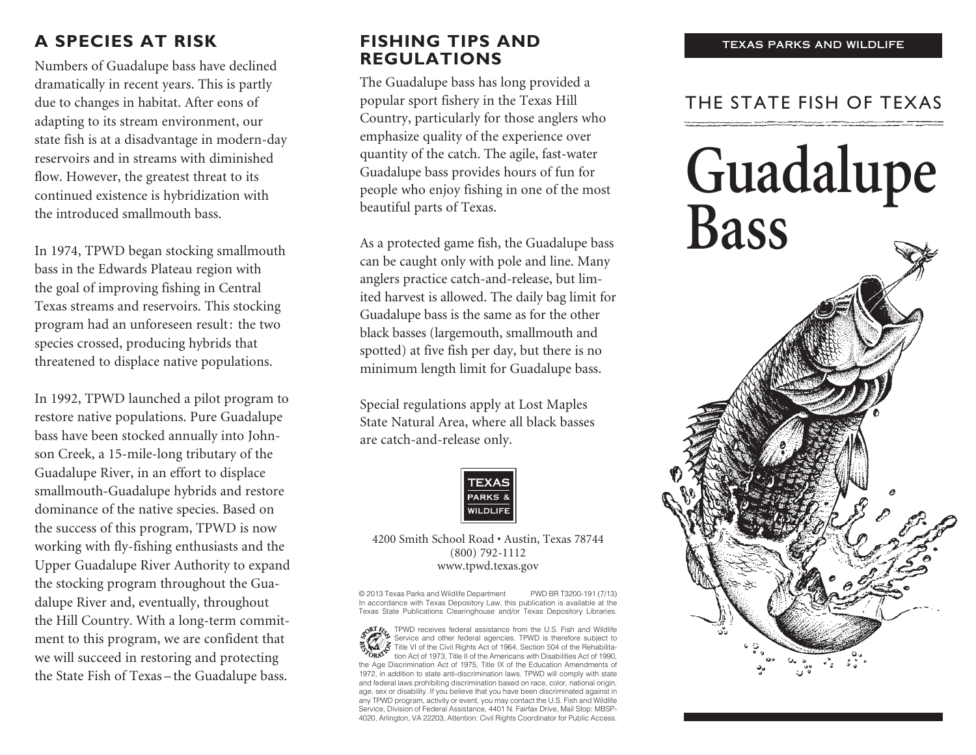## **A SPECIES AT RISK**

Numbers of Guadalupe bass have declined dramatically in recent years. This is partly due to changes in habitat. After eons of adapting to its stream environment, our state fish is at a disadvantage in modern-day reservoirs and in streams with diminished flow. However, the greatest threat to its continued existence is hybridization with the introduced smallmouth bass.

In 1974, TPWD began stocking smallmouth bass in the Edwards Plateau region with the goal of improving fishing in Central Texas streams and reservoirs. This stocking program had an unforeseen result: the two species crossed, producing hybrids that threatened to displace native populations.

In 1992, TPWD launched a pilot program to restore native populations. Pure Guadalupe bass have been stocked annually into Johnson Creek, a 15-mile-long tributary of the Guadalupe River, in an effort to displace smallmouth-Guadalupe hybrids and restore dominance of the native species. Based on the success of this program, TPWD is now working with fly-fishing enthusiasts and the Upper Guadalupe River Authority to expand the stocking program throughout the Guadalupe River and, eventually, throughout the Hill Country. With a long-term commitment to this program, we are confident that we will succeed in restoring and protecting the State Fish of Texas – the Guadalupe bass.

### **FISHING TIPS AND REGULATIONS**

The Guadalupe bass has long provided a popular sport fishery in the Texas Hill Country, particularly for those anglers who emphasize quality of the experience over quantity of the catch. The agile, fast-water Guadalupe bass provides hours of fun for people who enjoy fishing in one of the most beautiful parts of Texas.

As a protected game fish, the Guadalupe bass can be caught only with pole and line. Many anglers practice catch-and-release, but limited harvest is allowed. The daily bag limit for Guadalupe bass is the same as for the other black basses (largemouth, smallmouth and spotted) at five fish per day, but there is no minimum length limit for Guadalupe bass.

Special regulations apply at Lost Maples State Natural Area, where all black basses are catch-and-release only.



#### 4200 Smith School Road • Austin, Texas 78744 (800) 792-1112 www.tpwd.texas.gov

© 2013 Texas Parks and Wildlife Department PWD BR T3200-191 (7/13) In accordance with Texas Depository Law, this publication is available at the Texas State Publications Clearinghouse and/or Texas Depository Libraries.

TPWD receives federal assistance from the U.S. Fish and Wildlife Service and other federal agencies. TPWD is therefore subject to  $\mathcal{\widetilde{S}}$  Title VI of the Civil Rights Act of 1964, Section 504 of the Rehabilitation Act of 1973, Title II of the Americans with Disabilities Act of 1990, the Age Discrimination Act of 1975, Title IX of the Education Amendments of 1972, in addition to state anti-discrimination laws. TPWD will comply with state and federal laws prohibiting discrimination based on race, color, national origin, age, sex or disability. If you believe that you have been discriminated against in any TPWD program, activity or event, you may contact the U.S. Fish and Wildlife Service, Division of Federal Assistance, 4401 N. Fairfax Drive, Mail Stop: MBSP-4020, Arlington, VA 22203, Attention: Civil Rights Coordinator for Public Access.

## THE STATE FISH OF TEXAS